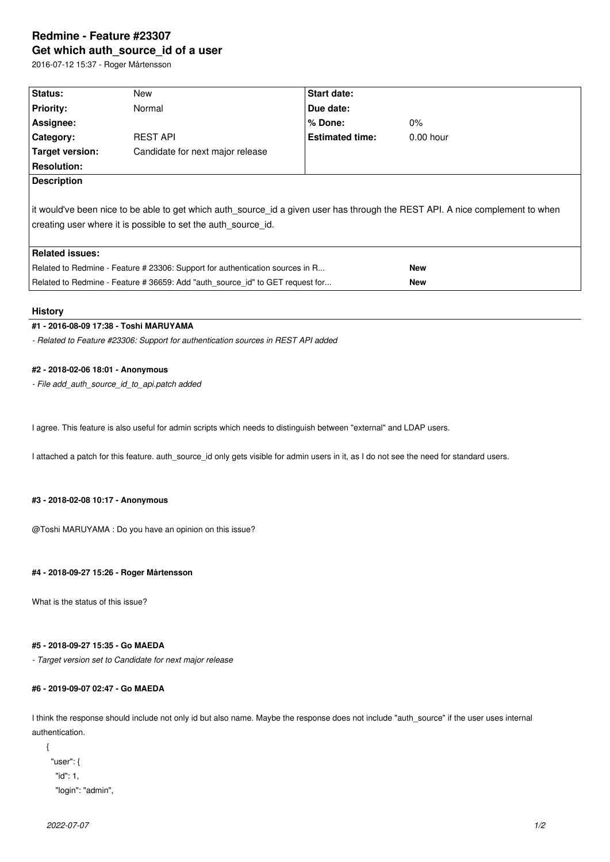# **Redmine - Feature #23307 Get which auth\_source\_id of a user**

2016-07-12 15:37 - Roger Mårtensson

| Status:                                                                                                                                                                                         | New                              | Start date:            |             |  |  |
|-------------------------------------------------------------------------------------------------------------------------------------------------------------------------------------------------|----------------------------------|------------------------|-------------|--|--|
| <b>Priority:</b>                                                                                                                                                                                | Normal                           | Due date:              |             |  |  |
| Assignee:                                                                                                                                                                                       |                                  | % Done:                | $0\%$       |  |  |
| Category:                                                                                                                                                                                       | <b>REST API</b>                  | <b>Estimated time:</b> | $0.00$ hour |  |  |
| Target version:                                                                                                                                                                                 | Candidate for next major release |                        |             |  |  |
| <b>Resolution:</b>                                                                                                                                                                              |                                  |                        |             |  |  |
| <b>Description</b>                                                                                                                                                                              |                                  |                        |             |  |  |
| lit would've been nice to be able to get which auth source id a given user has through the REST API. A nice complement to when<br>creating user where it is possible to set the auth source id. |                                  |                        |             |  |  |
| <b>Related issues:</b>                                                                                                                                                                          |                                  |                        |             |  |  |
| Related to Redmine - Feature # 23306: Support for authentication sources in R                                                                                                                   |                                  | <b>New</b>             |             |  |  |
| Related to Redmine - Feature # 36659: Add "auth_source_id" to GET request for                                                                                                                   |                                  |                        | <b>New</b>  |  |  |

#### **History**

## **#1 - 2016-08-09 17:38 - Toshi MARUYAMA**

*- Related to Feature #23306: Support for authentication sources in REST API added*

## **#2 - 2018-02-06 18:01 - Anonymous**

*- File add\_auth\_source\_id\_to\_api.patch added*

I agree. This feature is also useful for admin scripts which needs to distinguish between "external" and LDAP users.

I attached a patch for this feature. auth\_source\_id only gets visible for admin users in it, as I do not see the need for standard users.

#### **#3 - 2018-02-08 10:17 - Anonymous**

@Toshi MARUYAMA : Do you have an opinion on this issue?

#### **#4 - 2018-09-27 15:26 - Roger Mårtensson**

What is the status of this issue?

## **#5 - 2018-09-27 15:35 - Go MAEDA**

*- Target version set to Candidate for next major release*

# **#6 - 2019-09-07 02:47 - Go MAEDA**

I think the response should include not only id but also name. Maybe the response does not include "auth\_source" if the user uses internal authentication.

```
{
  "user": {
    "id": 1,
    "login": "admin",
```